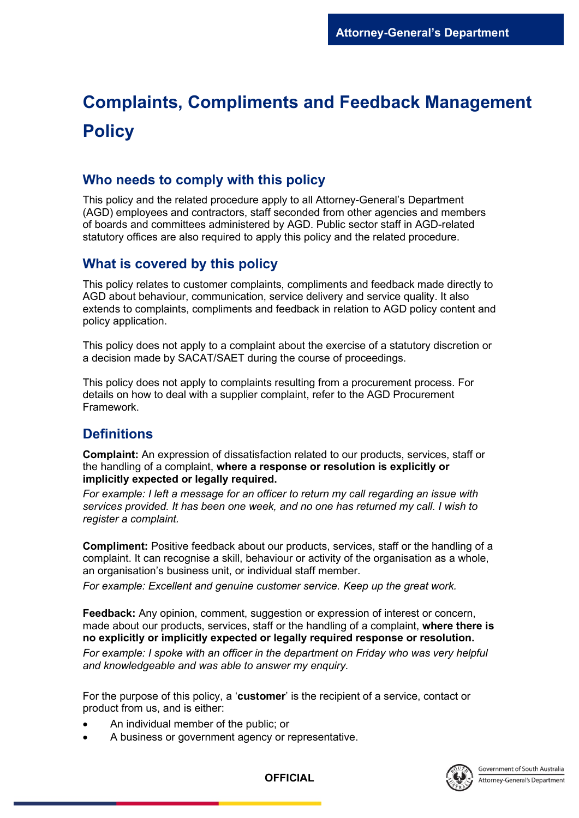# **Complaints, Compliments and Feedback Management Policy**

### **Who needs to comply with this policy**

This policy and the related procedure apply to all Attorney-General's Department (AGD) employees and contractors, staff seconded from other agencies and members of boards and committees administered by AGD. Public sector staff in AGD-related statutory offices are also required to apply this policy and the related procedure.

## **What is covered by this policy**

This policy relates to customer complaints, compliments and feedback made directly to AGD about behaviour, communication, service delivery and service quality. It also extends to complaints, compliments and feedback in relation to AGD policy content and policy application.

This policy does not apply to a complaint about the exercise of a statutory discretion or a decision made by SACAT/SAET during the course of proceedings.

This policy does not apply to complaints resulting from a procurement process. For details on how to deal with a supplier complaint, refer to the AGD Procurement Framework.

## **Definitions**

**Complaint:** An expression of dissatisfaction related to our products, services, staff or the handling of a complaint, **where a response or resolution is explicitly or implicitly expected or legally required.**

*For example: I left a message for an officer to return my call regarding an issue with services provided. It has been one week, and no one has returned my call. I wish to register a complaint.*

**Compliment:** Positive feedback about our products, services, staff or the handling of a complaint. It can recognise a skill, behaviour or activity of the organisation as a whole, an organisation's business unit, or individual staff member.

*For example: Excellent and genuine customer service. Keep up the great work.*

**Feedback:** Any opinion, comment, suggestion or expression of interest or concern, made about our products, services, staff or the handling of a complaint, **where there is no explicitly or implicitly expected or legally required response or resolution.** 

*For example: I spoke with an officer in the department on Friday who was very helpful and knowledgeable and was able to answer my enquiry.*

For the purpose of this policy, a '**customer**' is the recipient of a service, contact or product from us, and is either:

- An individual member of the public; or
- A business or government agency or representative.



**OFFICIAL**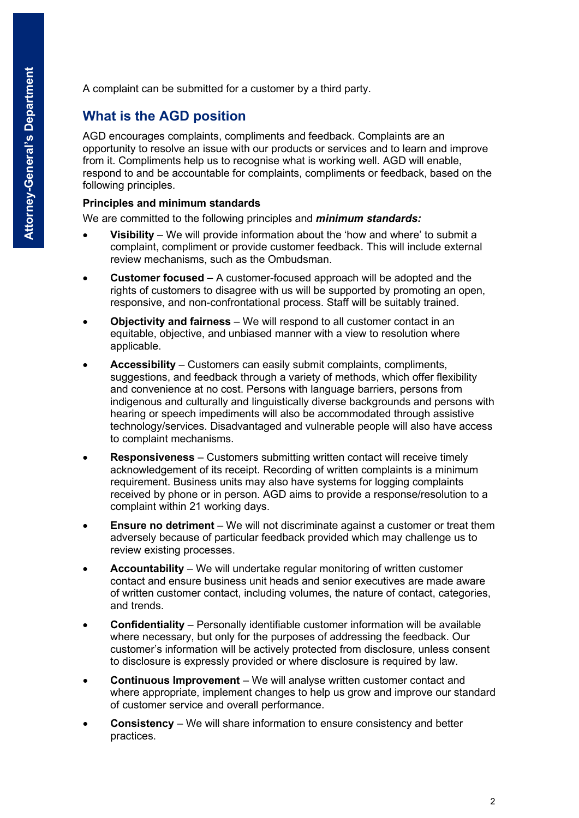A complaint can be submitted for a customer by a third party.

## **What is the AGD position**

AGD encourages complaints, compliments and feedback. Complaints are an opportunity to resolve an issue with our products or services and to learn and improve from it. Compliments help us to recognise what is working well. AGD will enable, respond to and be accountable for complaints, compliments or feedback, based on the following principles.

#### **Principles and minimum standards**

We are committed to the following principles and *minimum standards:*

- **Visibility**  We will provide information about the 'how and where' to submit a complaint, compliment or provide customer feedback. This will include external review mechanisms, such as the Ombudsman.
- **Customer focused –** A customer-focused approach will be adopted and the rights of customers to disagree with us will be supported by promoting an open, responsive, and non-confrontational process. Staff will be suitably trained.
- **Objectivity and fairness**  We will respond to all customer contact in an equitable, objective, and unbiased manner with a view to resolution where applicable.
- **Accessibility**  Customers can easily submit complaints, compliments, suggestions, and feedback through a variety of methods, which offer flexibility and convenience at no cost. Persons with language barriers, persons from indigenous and culturally and linguistically diverse backgrounds and persons with hearing or speech impediments will also be accommodated through assistive technology/services. Disadvantaged and vulnerable people will also have access to complaint mechanisms.
- **Responsiveness**  Customers submitting written contact will receive timely acknowledgement of its receipt. Recording of written complaints is a minimum requirement. Business units may also have systems for logging complaints received by phone or in person. AGD aims to provide a response/resolution to a complaint within 21 working days.
- **Ensure no detriment** We will not discriminate against a customer or treat them adversely because of particular feedback provided which may challenge us to review existing processes.
- **Accountability**  We will undertake regular monitoring of written customer contact and ensure business unit heads and senior executives are made aware of written customer contact, including volumes, the nature of contact, categories, and trends.
- **Confidentiality**  Personally identifiable customer information will be available where necessary, but only for the purposes of addressing the feedback. Our customer's information will be actively protected from disclosure, unless consent to disclosure is expressly provided or where disclosure is required by law.
- **Continuous Improvement**  We will analyse written customer contact and where appropriate, implement changes to help us grow and improve our standard of customer service and overall performance.
- **Consistency** We will share information to ensure consistency and better practices.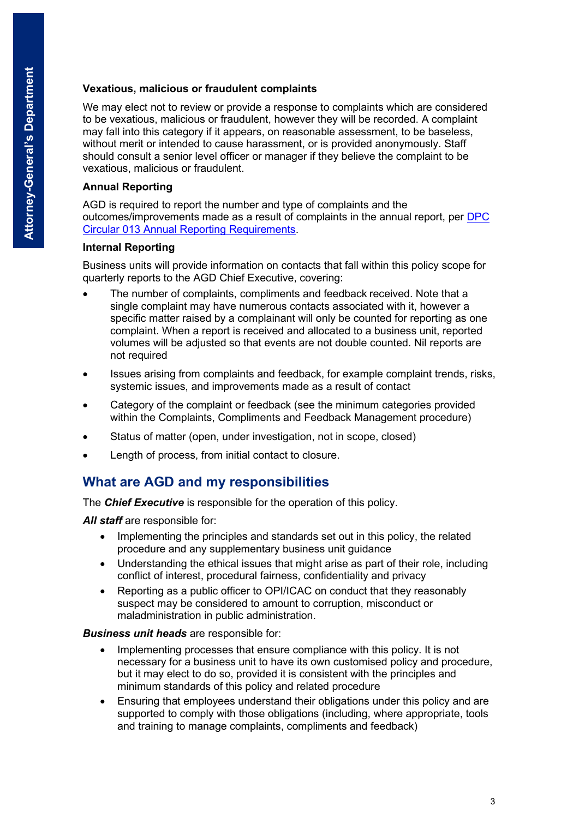#### **Vexatious, malicious or fraudulent complaints**

We may elect not to review or provide a response to complaints which are considered to be vexatious, malicious or fraudulent, however they will be recorded. A complaint may fall into this category if it appears, on reasonable assessment, to be baseless, without merit or intended to cause harassment, or is provided anonymously. Staff should consult a senior level officer or manager if they believe the complaint to be vexatious, malicious or fraudulent.

#### **Annual Reporting**

AGD is required to report the number and type of complaints and the outcomes/improvements made as a result of complaints in the annual report, per [DPC](https://www.dpc.sa.gov.au/resources-and-publications/premier-and-cabinet-circulars)  [Circular 013 Annual Reporting Requirements.](https://www.dpc.sa.gov.au/resources-and-publications/premier-and-cabinet-circulars)

#### **Internal Reporting**

Business units will provide information on contacts that fall within this policy scope for quarterly reports to the AGD Chief Executive, covering:

- The number of complaints, compliments and feedback received. Note that a single complaint may have numerous contacts associated with it, however a specific matter raised by a complainant will only be counted for reporting as one complaint. When a report is received and allocated to a business unit, reported volumes will be adjusted so that events are not double counted. Nil reports are not required
- Issues arising from complaints and feedback, for example complaint trends, risks, systemic issues, and improvements made as a result of contact
- Category of the complaint or feedback (see the minimum categories provided within the Complaints, Compliments and Feedback Management procedure)
- Status of matter (open, under investigation, not in scope, closed)
- Length of process, from initial contact to closure.

## **What are AGD and my responsibilities**

The *Chief Executive* is responsible for the operation of this policy.

All staff are responsible for:

- Implementing the principles and standards set out in this policy, the related procedure and any supplementary business unit guidance
- Understanding the ethical issues that might arise as part of their role, including conflict of interest, procedural fairness, confidentiality and privacy
- Reporting as a public officer to OPI/ICAC on conduct that they reasonably suspect may be considered to amount to corruption, misconduct or maladministration in public administration.

#### *Business unit heads* are responsible for:

- Implementing processes that ensure compliance with this policy. It is not necessary for a business unit to have its own customised policy and procedure, but it may elect to do so, provided it is consistent with the principles and minimum standards of this policy and related procedure
- Ensuring that employees understand their obligations under this policy and are supported to comply with those obligations (including, where appropriate, tools and training to manage complaints, compliments and feedback)